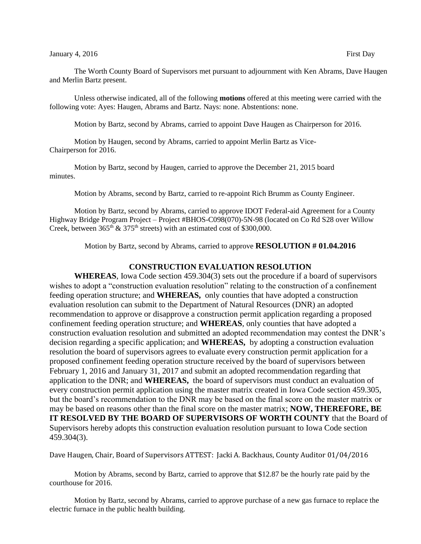Unless otherwise indicated, all of the following **motions** offered at this meeting were carried with the following vote: Ayes: Haugen, Abrams and Bartz. Nays: none. Abstentions: none.

Motion by Bartz, second by Abrams, carried to appoint Dave Haugen as Chairperson for 2016.

Motion by Haugen, second by Abrams, carried to appoint Merlin Bartz as Vice-Chairperson for 2016.

Motion by Bartz, second by Haugen, carried to approve the December 21, 2015 board minutes.

Motion by Abrams, second by Bartz, carried to re-appoint Rich Brumm as County Engineer.

Motion by Bartz, second by Abrams, carried to approve IDOT Federal-aid Agreement for a County Highway Bridge Program Project – Project #BHOS-C098(070)-5N-98 (located on Co Rd S28 over Willow Creek, between  $365<sup>th</sup> \& 375<sup>th</sup>$  streets) with an estimated cost of \$300,000.

Motion by Bartz, second by Abrams, carried to approve **RESOLUTION # 01.04.2016**

## **CONSTRUCTION EVALUATION RESOLUTION**

**WHEREAS**, Iowa Code section 459.304(3) sets out the procedure if a board of supervisors wishes to adopt a "construction evaluation resolution" relating to the construction of a confinement feeding operation structure; and **WHEREAS,** only counties that have adopted a construction evaluation resolution can submit to the Department of Natural Resources (DNR) an adopted recommendation to approve or disapprove a construction permit application regarding a proposed confinement feeding operation structure; and **WHEREAS**, only counties that have adopted a construction evaluation resolution and submitted an adopted recommendation may contest the DNR's decision regarding a specific application; and **WHEREAS,** by adopting a construction evaluation resolution the board of supervisors agrees to evaluate every construction permit application for a proposed confinement feeding operation structure received by the board of supervisors between February 1, 2016 and January 31, 2017 and submit an adopted recommendation regarding that application to the DNR; and **WHEREAS,** the board of supervisors must conduct an evaluation of every construction permit application using the master matrix created in Iowa Code section 459.305, but the board's recommendation to the DNR may be based on the final score on the master matrix or may be based on reasons other than the final score on the master matrix; **NOW, THEREFORE, BE IT RESOLVED BY THE BOARD OF SUPERVISORS OF WORTH COUNTY** that the Board of Supervisors hereby adopts this construction evaluation resolution pursuant to Iowa Code section 459.304(3).

Dave Haugen, Chair, Board of Supervisors ATTEST: Jacki A. Backhaus, County Auditor 01/04/2016

Motion by Abrams, second by Bartz, carried to approve that \$12.87 be the hourly rate paid by the courthouse for 2016.

Motion by Bartz, second by Abrams, carried to approve purchase of a new gas furnace to replace the electric furnace in the public health building.